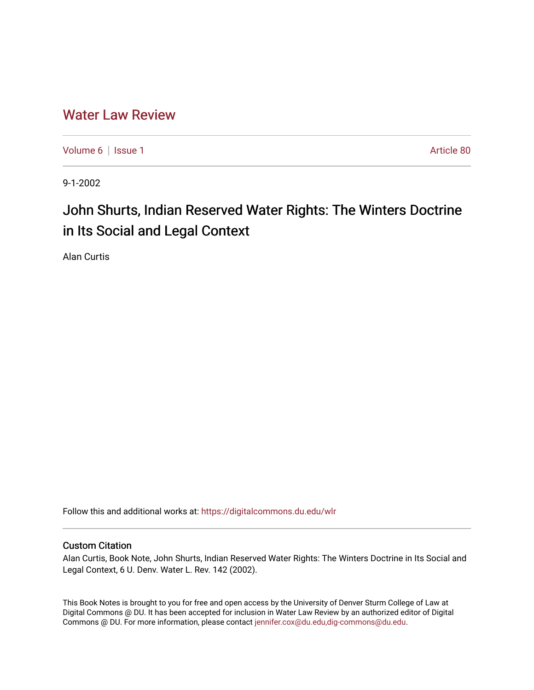## [Water Law Review](https://digitalcommons.du.edu/wlr)

[Volume 6](https://digitalcommons.du.edu/wlr/vol6) | [Issue 1](https://digitalcommons.du.edu/wlr/vol6/iss1) Article 80

9-1-2002

## John Shurts, Indian Reserved Water Rights: The Winters Doctrine in Its Social and Legal Context

Alan Curtis

Follow this and additional works at: [https://digitalcommons.du.edu/wlr](https://digitalcommons.du.edu/wlr?utm_source=digitalcommons.du.edu%2Fwlr%2Fvol6%2Fiss1%2F80&utm_medium=PDF&utm_campaign=PDFCoverPages) 

## Custom Citation

Alan Curtis, Book Note, John Shurts, Indian Reserved Water Rights: The Winters Doctrine in Its Social and Legal Context, 6 U. Denv. Water L. Rev. 142 (2002).

This Book Notes is brought to you for free and open access by the University of Denver Sturm College of Law at Digital Commons @ DU. It has been accepted for inclusion in Water Law Review by an authorized editor of Digital Commons @ DU. For more information, please contact [jennifer.cox@du.edu,dig-commons@du.edu.](mailto:jennifer.cox@du.edu,dig-commons@du.edu)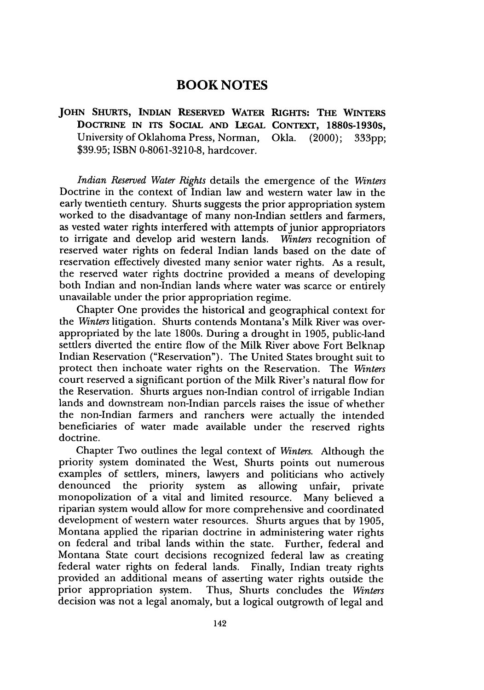## **BOOK NOTES**

**JOHN SHURTS, INDIAN RESERVED WATER RIGHTS: THE WINTERS DOCTRINE IN ITS SOCIAL AND LEGAL CONTEXT, 1880s-1930s,** University of Oklahoma Press, Norman, Okla. (2000); 333pp; \$39.95; ISBN 0-8061-3210-8, hardcover.

*Indian Reserved Water Rights* details the emergence of the *Winters* Doctrine in the context of Indian law and western water law in the early twentieth century. Shurts suggests the prior appropriation system worked to the disadvantage of many non-Indian settlers and farmers, as vested water rights interfered with attempts of junior appropriators to irrigate and develop arid western lands. *Winters* recognition of reserved water rights on federal Indian lands based on the date of reservation effectively divested many senior water rights. As a result, the reserved water rights doctrine provided a means of developing both Indian and non-Indian lands where water was scarce or entirely unavailable under the prior appropriation regime.

Chapter One provides the historical and geographical context for the *Winters* litigation. Shurts contends Montana's Milk River was overappropriated by the late 1800s. During a drought in 1905, public-land settlers diverted the entire flow of the Milk River above Fort Belknap Indian Reservation ("Reservation"). The United States brought suit to protect then inchoate water rights on the Reservation. The *Winters* court reserved a significant portion of the Milk River's natural flow for the Reservation. Shurts argues non-Indian control of irrigable Indian lands and downstream non-Indian parcels raises the issue of whether the non-Indian farmers and ranchers were actually the intended beneficiaries of water made available under the reserved rights doctrine.

Chapter Two outlines the legal context of *Winters.* Although the priority system dominated the West, Shurts points out numerous examples of settlers, miners, lawyers and politicians who actively denounced the priority system as allowing unfair, private monopolization of a vital and limited resource. Many believed a riparian system would allow for more comprehensive and coordinated development of western water resources. Shurts argues that by 1905, Montana applied the riparian doctrine in administering water rights on federal and tribal lands within the state. Further, federal and Montana State court decisions recognized federal law as creating federal water rights on federal lands. Finally, Indian treaty rights provided an additional means of asserting water rights outside the prior appropriation system. Thus, Shurts concludes the *Winters* decision was not a legal anomaly, but a logical outgrowth of legal and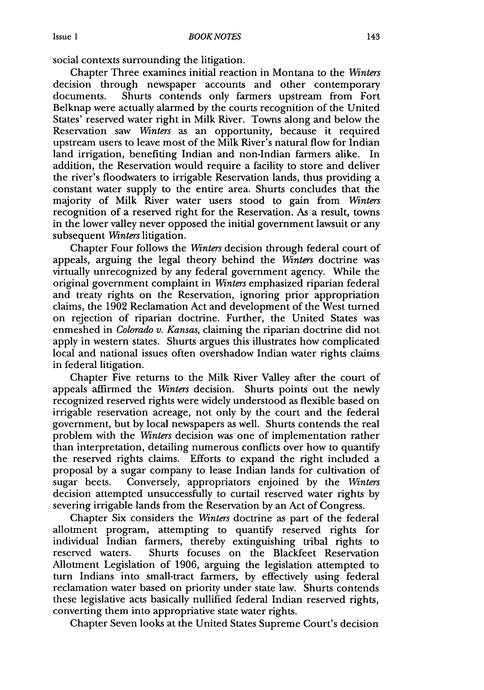social contexts surrounding the litigation.

Chapter Three examines initial reaction in Montana to the *Winters* decision through newspaper accounts and other contemporary documents. Shurts contends only farmers upstream from Fort Belknap were actually alarmed by the courts recognition of the United States' reserved water right in Milk River. Towns along and below the Reservation saw *Winters* as an opportunity, because it required upstream users to leave most of the Milk River's natural flow for Indian land irrigation, benefiting Indian and non-Indian farmers alike. In addition, the Reservation would require a facility to store and deliver the river's floodwaters to irrigable Reservation lands, thus providing a constant water supply to the entire area. Shurts concludes that the majority of Milk River water users stood to gain from *Winters* recognition of a reserved right for the Reservation. As a result, towns in the lower valley never opposed the initial government lawsuit or any subsequent *Winters* litigation.

Chapter Four follows the *Winters* decision through federal court of appeals, arguing the legal theory behind the *Winters* doctrine was virtually unrecognized by any federal government agency. While the original government complaint in *Winters* emphasized riparian federal and treaty rights on the Reservation, ignoring prior appropriation claims, the 1902 Reclamation Act and development of the West turned on rejection of riparian doctrine. Further, the United States was enmeshed in *Colorado v. Kansas,* claiming the riparian doctrine did not apply in western states. Shurts argues this illustrates how complicated local and national issues often overshadow Indian water rights claims in federal litigation.

Chapter Five returns to the Milk River Valley after the court of appeals affirmed the *Winters* decision. Shurts points out the newly recognized reserved rights were widely understood as flexible based on irrigable reservation acreage, not only by the court and the federal government, but by local newspapers as well. Shurts contends the real problem with the *Winters* decision was one of implementation rather than interpretation, detailing numerous conflicts over how to quantify the reserved rights claims. Efforts to expand the right included a proposal by a sugar company to lease Indian lands for cultivation of sugar beets. Conversely, appropriators enjoined by the *Winters* decision attempted unsuccessfully to curtail reserved water rights by severing irrigable lands from the Reservation by an Act of Congress.

Chapter Six considers the *Winters* doctrine as part of the federal allotment program, attempting to quantify reserved rights for individual Indian farmers, thereby extinguishing tribal rights to reserved waters. Shurts focuses on the Blackfeet Reservation Allotment Legislation of 1906, arguing the legislation attempted to turn Indians into small-tract farmers, by effectively using federal reclamation water based on priority under state law. Shurts contends these legislative acts basically nullified federal Indian reserved rights, converting them into appropriative state water rights.

Chapter Seven looks at the United States Supreme Court's decision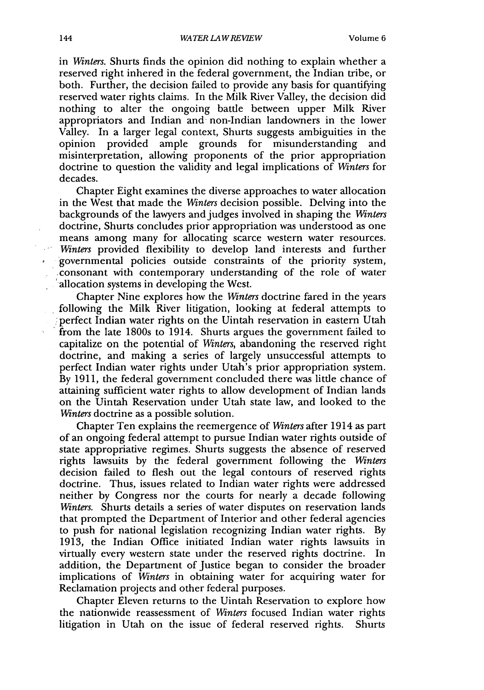in *Winters.* Shurts finds the opinion did nothing to explain whether a reserved right inhered in the federal government, the Indian tribe, or both. Further, the decision failed to provide any basis for quantifying reserved water rights claims. In the Milk River Valley, the decision did nothing to alter the ongoing battle between upper Milk River appropriators and Indian and non-Indian landowners in the lower Valley. In a larger legal context, Shurts suggests ambiguities in the opinion provided ample grounds for misunderstanding and misinterpretation, allowing proponents of the prior appropriation doctrine to question the validity and legal implications of *Winters* for decades.

Chapter Eight examines the diverse approaches to water allocation in the West that made the *Winters* decision possible. Delving into the backgrounds of the lawyers and judges involved in shaping the *Winters* doctrine, Shurts concludes prior appropriation was understood as one means among many for allocating scarce western water resources. *Winters* provided flexibility to develop land interests and further governmental policies outside constraints of the priority system, consonant with contemporary understanding of the role of water allocation systems in developing the West.

Chapter Nine explores how the *Winters* doctrine fared in the years following the Milk River litigation, looking at federal attempts to perfect Indian water rights on the Uintah reservation in eastern Utah from the late 1800s to 1914. Shurts argues the government failed to capitalize on the potential of *Winters,* abandoning the reserved right doctrine, and making a series of largely unsuccessful attempts to perfect Indian water rights under Utah's prior appropriation system. By 1911, the federal government concluded there was little chance of attaining sufficient water rights to allow development of Indian lands on the Uintah Reservation under Utah state law, and looked to the *Winters* doctrine as a possible solution.

Chapter Ten explains the reemergence of *Winters* after 1914 as part of an ongoing federal attempt to pursue Indian water rights outside of state appropriative regimes. Shurts suggests the absence of reserved rights lawsuits by the federal government following the *Winters* decision failed to flesh out the legal contours of reserved rights doctrine. Thus, issues related to Indian water rights were addressed neither by Congress nor the courts for nearly a decade following *Winters.* Shurts details a series of water disputes on reservation lands that prompted the Department of Interior and other federal agencies to push for national legislation recognizing Indian water rights. By 1913, the Indian Office initiated Indian water rights lawsuits in virtually every western state under the reserved rights doctrine. In addition, the Department of Justice began to consider the broader implications of *Winters* in obtaining water for acquiring water for Reclamation projects and other federal purposes.

Chapter Eleven returns to the Uintah Reservation to explore how the nationwide reassessment of *Winters* focused Indian water rights litigation in Utah on the issue of federal reserved rights. Shurts